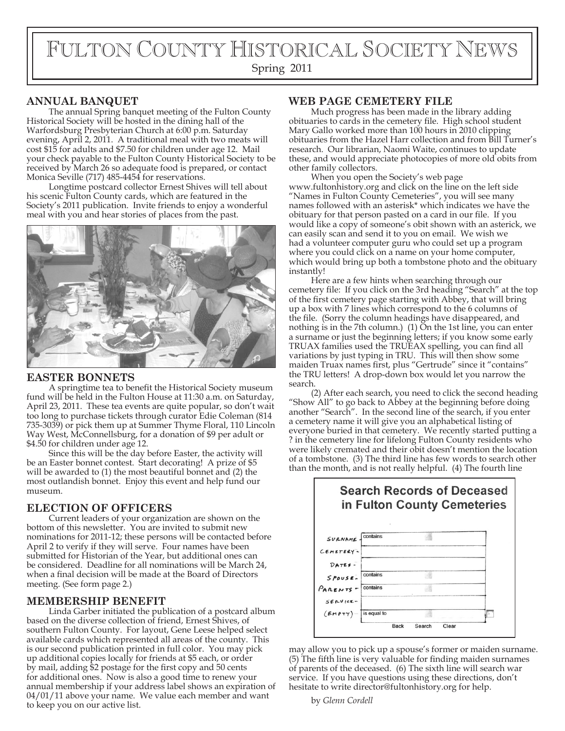# FULTON COUNTY HISTORICAL SOCIETY NEWS

## Spring 2011

## **ANNUAL BANQUET**

The annual Spring banquet meeting of the Fulton County Historical Society will be hosted in the dining hall of the Warfordsburg Presbyterian Church at 6:00 p.m. Saturday evening, April 2, 2011. A traditional meal with two meats will cost \$15 for adults and \$7.50 for children under age 12. Mail your check payable to the Fulton County Historical Society to be received by March 26 so adequate food is prepared, or contact Monica Seville (717) 485-4454 for reservations.

Longtime postcard collector Ernest Shives will tell about his scenic Fulton County cards, which are featured in the Society's 2011 publication. Invite friends to enjoy a wonderful meal with you and hear stories of places from the past.



#### **EASTER BONNETS**

A springtime tea to benefit the Historical Society museum fund will be held in the Fulton House at 11:30 a.m. on Saturday, April 23, 2011. These tea events are quite popular, so don't wait too long to purchase tickets through curator Edie Coleman (814 735-3039) or pick them up at Summer Thyme Floral, 110 Lincoln Way West, McConnellsburg, for a donation of \$9 per adult or \$4.50 for children under age 12.

Since this will be the day before Easter, the activity will be an Easter bonnet contest. Start decorating! A prize of \$5 will be awarded to (1) the most beautiful bonnet and (2) the most outlandish bonnet. Enjoy this event and help fund our museum.

## **ELECTION OF OFFICERS**

Current leaders of your organization are shown on the bottom of this newsletter. You are invited to submit new nominations for 2011-12; these persons will be contacted before April 2 to verify if they will serve. Four names have been submitted for Historian of the Year, but additional ones can be considered. Deadline for all nominations will be March 24, when a final decision will be made at the Board of Directors meeting. (See form page 2.)

#### **MEMBERSHIP BENEFIT**

Linda Garber initiated the publication of a postcard album based on the diverse collection of friend, Ernest Shives, of southern Fulton County. For layout, Gene Leese helped select available cards which represented all areas of the county. This is our second publication printed in full color. You may pick up additional copies locally for friends at \$5 each, or order by mail, adding \$2 postage for the first copy and 50 cents for additional ones. Now is also a good time to renew your annual membership if your address label shows an expiration of 04/01/11 above your name. We value each member and want to keep you on our active list.

### **WEB PAGE CEMETERY FILE**

Much progress has been made in the library adding obituaries to cards in the cemetery file. High school student Mary Gallo worked more than 100 hours in 2010 clipping obituaries from the Hazel Harr collection and from Bill Turner's research. Our librarian, Naomi Waite, continues to update these, and would appreciate photocopies of more old obits from other family collectors.

When you open the Society's web page www.fultonhistory.org and click on the line on the left side "Names in Fulton County Cemeteries", you will see many names followed with an asterisk\* which indicates we have the obituary for that person pasted on a card in our file. If you would like a copy of someone's obit shown with an asterick, we can easily scan and send it to you on email. We wish we had a volunteer computer guru who could set up a program where you could click on a name on your home computer, which would bring up both a tombstone photo and the obituary instantly!

Here are a few hints when searching through our cemetery file: If you click on the 3rd heading "Search" at the top of the first cemetery page starting with Abbey, that will bring up a box with 7 lines which correspond to the 6 columns of the file. (Sorry the column headings have disappeared, and nothing is in the 7th column.) (1) On the 1st line, you can enter a surname or just the beginning letters; if you know some early TRUAX families used the TRUEAX spelling, you can find all variations by just typing in TRU. This will then show some maiden Truax names first, plus "Gertrude" since it "contains" the TRU letters! A drop-down box would let you narrow the search.

(2) After each search, you need to click the second heading "Show All" to go back to Abbey at the beginning before doing another "Search". In the second line of the search, if you enter a cemetery name it will give you an alphabetical listing of everyone buried in that cemetery. We recently started putting a ? in the cemetery line for lifelong Fulton County residents who were likely cremated and their obit doesn't mention the location of a tombstone. (3) The third line has few words to search other than the month, and is not really helpful. (4) The fourth line



may allow you to pick up a spouse's former or maiden surname.  $(5)$  The fifth line is very valuable for finding maiden surnames of parents of the deceased. (6) The sixth line will search war service. If you have questions using these directions, don't hesitate to write director@fultonhistory.org for help.

by *Glenn Cordell*